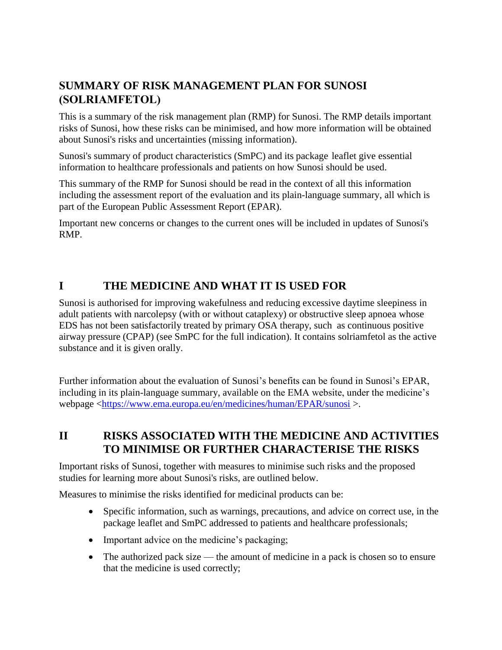## **SUMMARY OF RISK MANAGEMENT PLAN FOR SUNOSI (SOLRIAMFETOL)**

This is a summary of the risk management plan (RMP) for Sunosi. The RMP details important risks of Sunosi, how these risks can be minimised, and how more information will be obtained about Sunosi's risks and uncertainties (missing information).

Sunosi's summary of product characteristics (SmPC) and its package leaflet give essential information to healthcare professionals and patients on how Sunosi should be used.

This summary of the RMP for Sunosi should be read in the context of all this information including the assessment report of the evaluation and its plain-language summary, all which is part of the European Public Assessment Report (EPAR).

Important new concerns or changes to the current ones will be included in updates of Sunosi's RMP.

## **I THE MEDICINE AND WHAT IT IS USED FOR**

Sunosi is authorised for improving wakefulness and reducing excessive daytime sleepiness in adult patients with narcolepsy (with or without cataplexy) or obstructive sleep apnoea whose EDS has not been satisfactorily treated by primary OSA therapy, such as continuous positive airway pressure (CPAP) (see SmPC for the full indication). It contains solriamfetol as the active substance and it is given orally.

Further information about the evaluation of Sunosi's benefits can be found in Sunosi's EPAR, including in its plain-language summary, available on the EMA website, under the medicine's webpage [<https://www.ema.europa.eu/en/medicines/human/EPAR/sunosi](https://www.ema.europa.eu/en/medicines/human/EPAR/sunosi) >.

### **II RISKS ASSOCIATED WITH THE MEDICINE AND ACTIVITIES TO MINIMISE OR FURTHER CHARACTERISE THE RISKS**

Important risks of Sunosi, together with measures to minimise such risks and the proposed studies for learning more about Sunosi's risks, are outlined below.

Measures to minimise the risks identified for medicinal products can be:

- Specific information, such as warnings, precautions, and advice on correct use, in the package leaflet and SmPC addressed to patients and healthcare professionals;
- Important advice on the medicine's packaging;
- The authorized pack size the amount of medicine in a pack is chosen so to ensure that the medicine is used correctly;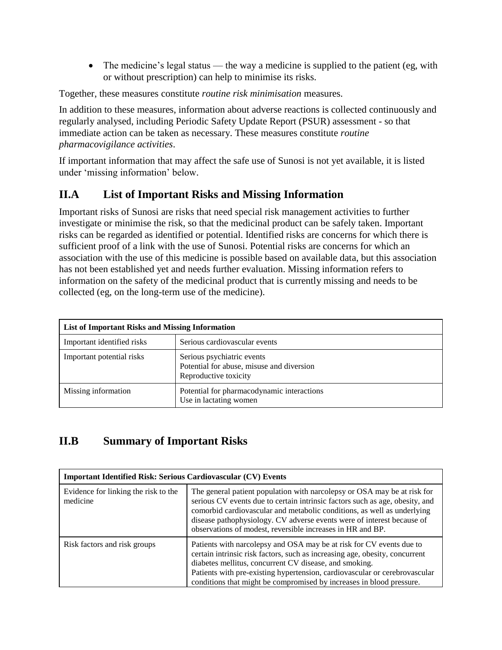• The medicine's legal status — the way a medicine is supplied to the patient (eg, with or without prescription) can help to minimise its risks.

Together, these measures constitute *routine risk minimisation* measures.

In addition to these measures, information about adverse reactions is collected continuously and regularly analysed, including Periodic Safety Update Report (PSUR) assessment - so that immediate action can be taken as necessary. These measures constitute *routine pharmacovigilance activities*.

If important information that may affect the safe use of Sunosi is not yet available, it is listed under 'missing information' below.

### **II.A List of Important Risks and Missing Information**

Important risks of Sunosi are risks that need special risk management activities to further investigate or minimise the risk, so that the medicinal product can be safely taken. Important risks can be regarded as identified or potential. Identified risks are concerns for which there is sufficient proof of a link with the use of Sunosi. Potential risks are concerns for which an association with the use of this medicine is possible based on available data, but this association has not been established yet and needs further evaluation. Missing information refers to information on the safety of the medicinal product that is currently missing and needs to be collected (eg, on the long-term use of the medicine).

| <b>List of Important Risks and Missing Information</b> |                                                                                                  |  |
|--------------------------------------------------------|--------------------------------------------------------------------------------------------------|--|
| Important identified risks                             | Serious cardiovascular events                                                                    |  |
| Important potential risks                              | Serious psychiatric events<br>Potential for abuse, misuse and diversion<br>Reproductive toxicity |  |
| Missing information                                    | Potential for pharmacodynamic interactions<br>Use in lactating women                             |  |

# **II.B Summary of Important Risks**

| <b>Important Identified Risk: Serious Cardiovascular (CV) Events</b> |                                                                                                                                                                                                                                                                                                                                                                             |
|----------------------------------------------------------------------|-----------------------------------------------------------------------------------------------------------------------------------------------------------------------------------------------------------------------------------------------------------------------------------------------------------------------------------------------------------------------------|
| Evidence for linking the risk to the<br>medicine                     | The general patient population with narcolepsy or OSA may be at risk for<br>serious CV events due to certain intrinsic factors such as age, obesity, and<br>comorbid cardiovascular and metabolic conditions, as well as underlying<br>disease pathophysiology. CV adverse events were of interest because of<br>observations of modest, reversible increases in HR and BP. |
| Risk factors and risk groups                                         | Patients with narcolepsy and OSA may be at risk for CV events due to<br>certain intrinsic risk factors, such as increasing age, obesity, concurrent<br>diabetes mellitus, concurrent CV disease, and smoking.<br>Patients with pre-existing hypertension, cardiovascular or cerebrovascular<br>conditions that might be compromised by increases in blood pressure.         |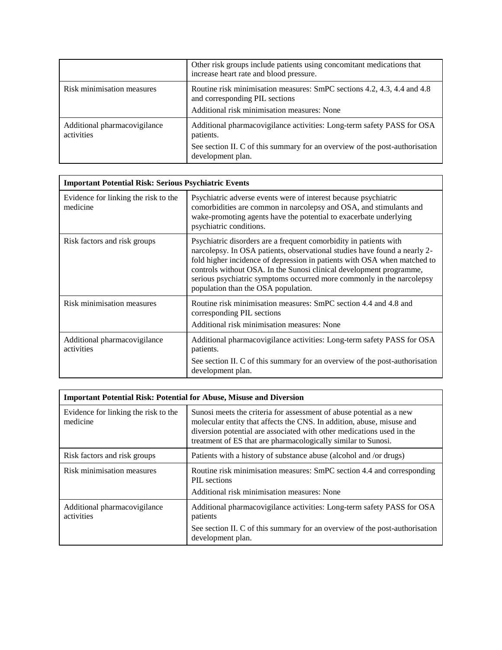|                                            | Other risk groups include patients using concomitant medications that<br>increase heart rate and blood pressure.                                                                        |
|--------------------------------------------|-----------------------------------------------------------------------------------------------------------------------------------------------------------------------------------------|
| Risk minimisation measures                 | Routine risk minimisation measures: SmPC sections 4.2, 4.3, 4.4 and 4.8<br>and corresponding PIL sections<br>Additional risk minimisation measures: None                                |
| Additional pharmacovigilance<br>activities | Additional pharmacovigilance activities: Long-term safety PASS for OSA<br>patients.<br>See section II. C of this summary for an overview of the post-authorisation<br>development plan. |

| <b>Important Potential Risk: Serious Psychiatric Events</b> |                                                                                                                                                                                                                                                                                                                                                                                                                   |
|-------------------------------------------------------------|-------------------------------------------------------------------------------------------------------------------------------------------------------------------------------------------------------------------------------------------------------------------------------------------------------------------------------------------------------------------------------------------------------------------|
| Evidence for linking the risk to the<br>medicine            | Psychiatric adverse events were of interest because psychiatric<br>comorbidities are common in narcolepsy and OSA, and stimulants and<br>wake-promoting agents have the potential to exacerbate underlying<br>psychiatric conditions.                                                                                                                                                                             |
| Risk factors and risk groups                                | Psychiatric disorders are a frequent comorbidity in patients with<br>narcolepsy. In OSA patients, observational studies have found a nearly 2-<br>fold higher incidence of depression in patients with OSA when matched to<br>controls without OSA. In the Sunosi clinical development programme,<br>serious psychiatric symptoms occurred more commonly in the narcolepsy<br>population than the OSA population. |
| Risk minimisation measures                                  | Routine risk minimisation measures: SmPC section 4.4 and 4.8 and<br>corresponding PIL sections<br>Additional risk minimisation measures: None                                                                                                                                                                                                                                                                     |
| Additional pharmacovigilance<br>activities                  | Additional pharmacovigilance activities: Long-term safety PASS for OSA<br>patients.<br>See section II. C of this summary for an overview of the post-authorisation<br>development plan.                                                                                                                                                                                                                           |

| <b>Important Potential Risk: Potential for Abuse, Misuse and Diversion</b> |                                                                                                                                                                                                                                                                                         |
|----------------------------------------------------------------------------|-----------------------------------------------------------------------------------------------------------------------------------------------------------------------------------------------------------------------------------------------------------------------------------------|
| Evidence for linking the risk to the<br>medicine                           | Sunosi meets the criteria for assessment of abuse potential as a new<br>molecular entity that affects the CNS. In addition, abuse, misuse and<br>diversion potential are associated with other medications used in the<br>treatment of ES that are pharmacologically similar to Sunosi. |
| Risk factors and risk groups                                               | Patients with a history of substance abuse (alcohol and /or drugs)                                                                                                                                                                                                                      |
| Risk minimisation measures                                                 | Routine risk minimisation measures: SmPC section 4.4 and corresponding<br>PIL sections<br>Additional risk minimisation measures: None                                                                                                                                                   |
| Additional pharmacovigilance<br>activities                                 | Additional pharmacovigilance activities: Long-term safety PASS for OSA<br>patients<br>See section II. C of this summary for an overview of the post-authorisation<br>development plan.                                                                                                  |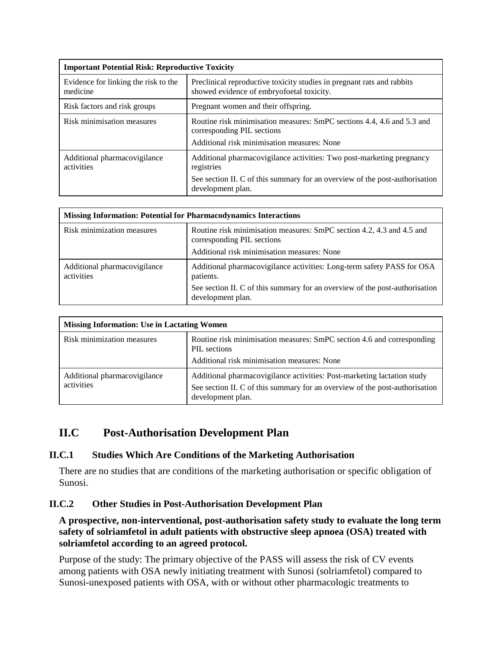| <b>Important Potential Risk: Reproductive Toxicity</b> |                                                                                                                                                     |
|--------------------------------------------------------|-----------------------------------------------------------------------------------------------------------------------------------------------------|
| Evidence for linking the risk to the<br>medicine       | Preclinical reproductive toxicity studies in pregnant rats and rabbits<br>showed evidence of embryofoetal toxicity.                                 |
| Risk factors and risk groups                           | Pregnant women and their offspring.                                                                                                                 |
| Risk minimisation measures                             | Routine risk minimisation measures: SmPC sections 4.4, 4.6 and 5.3 and<br>corresponding PIL sections<br>Additional risk minimisation measures: None |
| Additional pharmacovigilance<br>activities             | Additional pharmacovigilance activities: Two post-marketing pregnancy<br>registries                                                                 |
|                                                        | See section II. C of this summary for an overview of the post-authorisation<br>development plan.                                                    |

| <b>Missing Information: Potential for Pharmacodynamics Interactions</b> |                                                                                                                                                                                         |
|-------------------------------------------------------------------------|-----------------------------------------------------------------------------------------------------------------------------------------------------------------------------------------|
| Risk minimization measures                                              | Routine risk minimisation measures: SmPC section 4.2, 4.3 and 4.5 and<br>corresponding PIL sections<br>Additional risk minimisation measures: None                                      |
| Additional pharmacovigilance<br>activities                              | Additional pharmacovigilance activities: Long-term safety PASS for OSA<br>patients.<br>See section II. C of this summary for an overview of the post-authorisation<br>development plan. |

| <b>Missing Information: Use in Lactating Women</b> |                                                                                                                                                                             |
|----------------------------------------------------|-----------------------------------------------------------------------------------------------------------------------------------------------------------------------------|
| Risk minimization measures                         | Routine risk minimisation measures: SmPC section 4.6 and corresponding<br>PIL sections                                                                                      |
|                                                    | Additional risk minimisation measures: None                                                                                                                                 |
| Additional pharmacovigilance<br>activities         | Additional pharmacovigilance activities: Post-marketing lactation study<br>See section II. C of this summary for an overview of the post-authorisation<br>development plan. |

### **II.C Post-Authorisation Development Plan**

#### **II.C.1 Studies Which Are Conditions of the Marketing Authorisation**

There are no studies that are conditions of the marketing authorisation or specific obligation of Sunosi.

#### **II.C.2 Other Studies in Post-Authorisation Development Plan**

#### **A prospective, non-interventional, post-authorisation safety study to evaluate the long term safety of solriamfetol in adult patients with obstructive sleep apnoea (OSA) treated with solriamfetol according to an agreed protocol.**

Purpose of the study: The primary objective of the PASS will assess the risk of CV events among patients with OSA newly initiating treatment with Sunosi (solriamfetol) compared to Sunosi-unexposed patients with OSA, with or without other pharmacologic treatments to